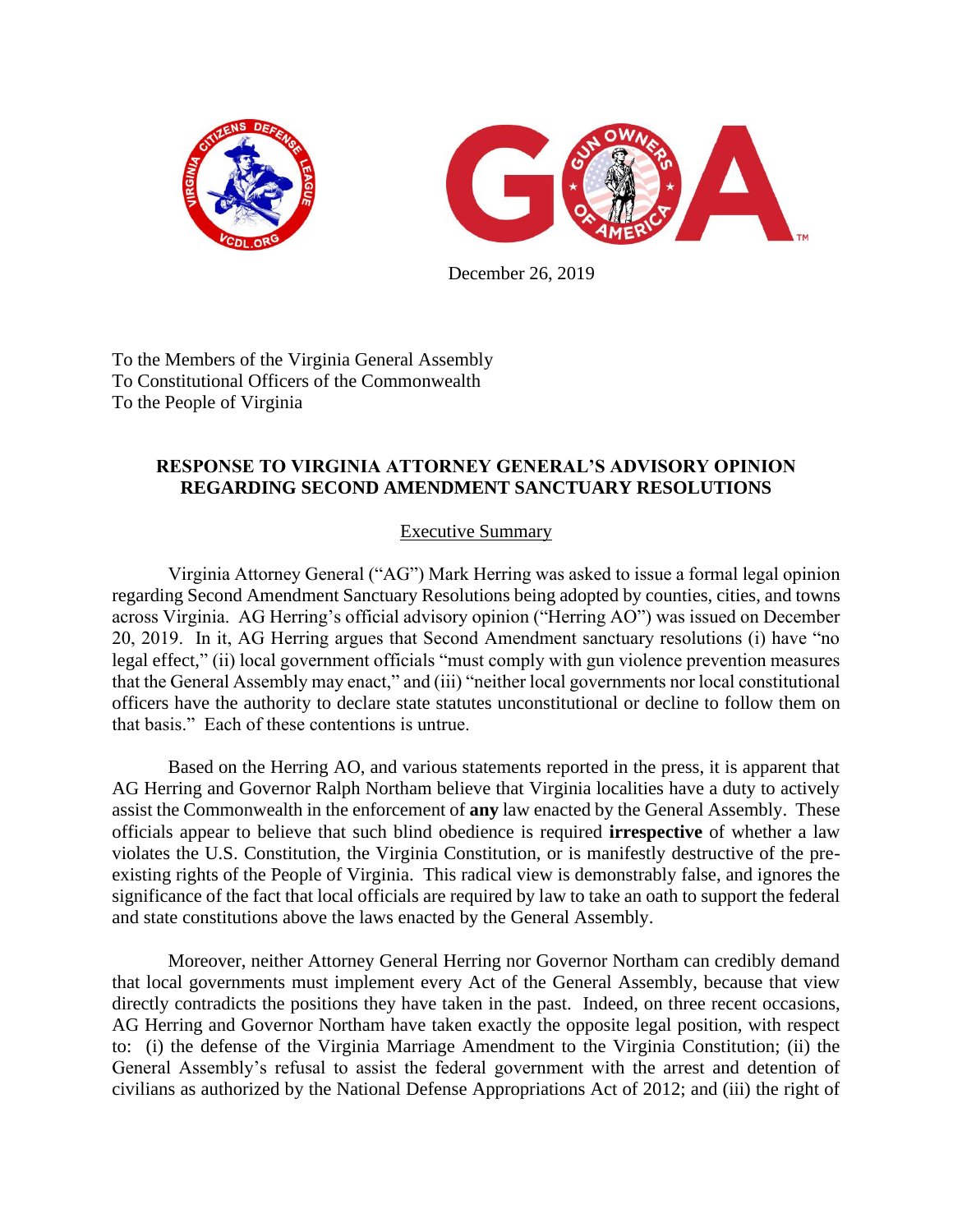



December 26, 2019

To the Members of the Virginia General Assembly To Constitutional Officers of the Commonwealth To the People of Virginia

## **RESPONSE TO VIRGINIA ATTORNEY GENERAL'S ADVISORY OPINION REGARDING SECOND AMENDMENT SANCTUARY RESOLUTIONS**

## Executive Summary

Virginia Attorney General ("AG") Mark Herring was asked to issue a formal legal opinion regarding Second Amendment Sanctuary Resolutions being adopted by counties, cities, and towns across Virginia. AG Herring's official advisory opinion ("Herring AO") was issued on December 20, 2019. In it, AG Herring argues that Second Amendment sanctuary resolutions (i) have "no legal effect," (ii) local government officials "must comply with gun violence prevention measures that the General Assembly may enact," and (iii) "neither local governments nor local constitutional officers have the authority to declare state statutes unconstitutional or decline to follow them on that basis." Each of these contentions is untrue.

Based on the Herring AO, and various statements reported in the press, it is apparent that AG Herring and Governor Ralph Northam believe that Virginia localities have a duty to actively assist the Commonwealth in the enforcement of **any** law enacted by the General Assembly. These officials appear to believe that such blind obedience is required **irrespective** of whether a law violates the U.S. Constitution, the Virginia Constitution, or is manifestly destructive of the preexisting rights of the People of Virginia. This radical view is demonstrably false, and ignores the significance of the fact that local officials are required by law to take an oath to support the federal and state constitutions above the laws enacted by the General Assembly.

Moreover, neither Attorney General Herring nor Governor Northam can credibly demand that local governments must implement every Act of the General Assembly, because that view directly contradicts the positions they have taken in the past. Indeed, on three recent occasions, AG Herring and Governor Northam have taken exactly the opposite legal position, with respect to: (i) the defense of the Virginia Marriage Amendment to the Virginia Constitution; (ii) the General Assembly's refusal to assist the federal government with the arrest and detention of civilians as authorized by the National Defense Appropriations Act of 2012; and (iii) the right of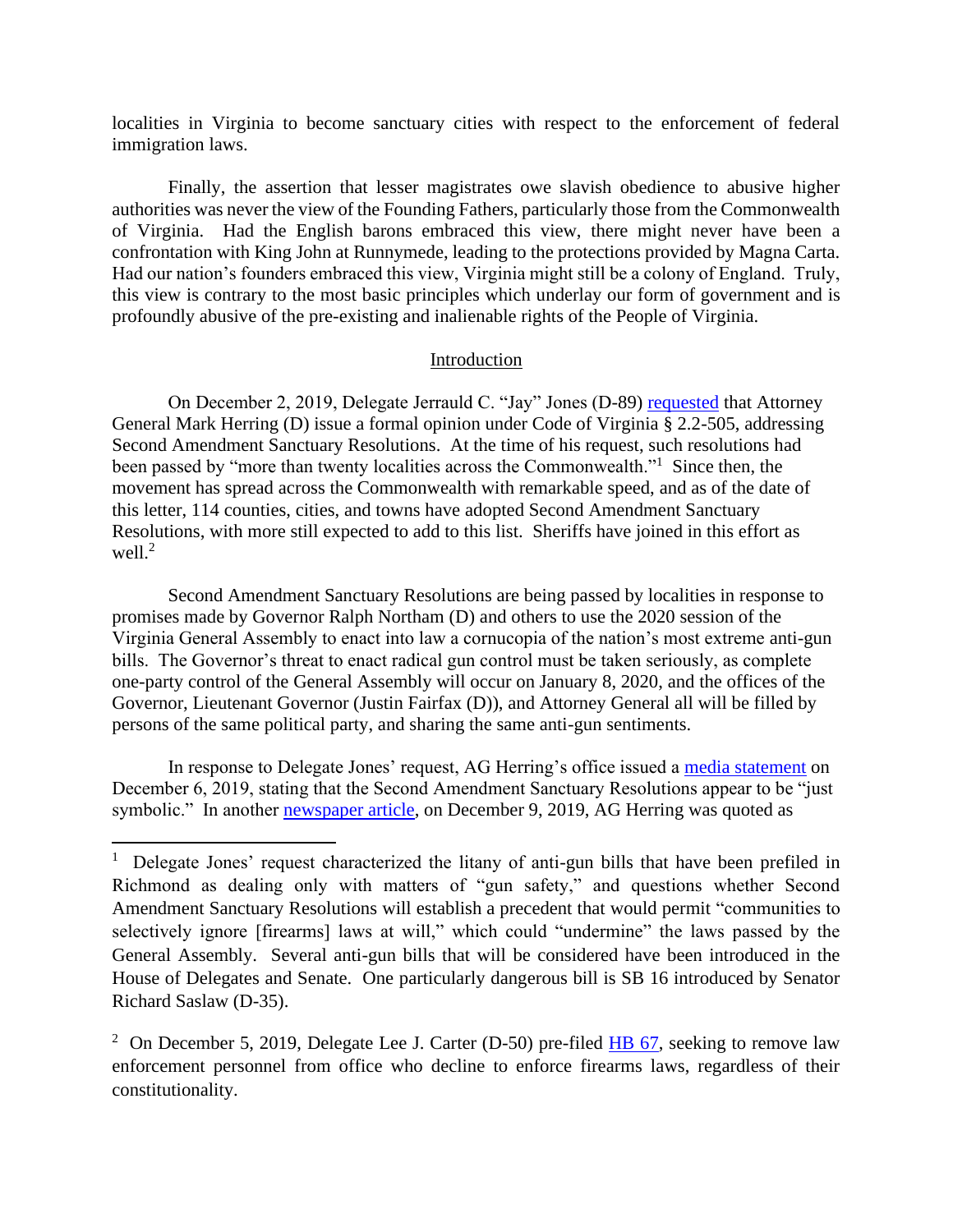localities in Virginia to become sanctuary cities with respect to the enforcement of federal immigration laws.

Finally, the assertion that lesser magistrates owe slavish obedience to abusive higher authorities was never the view of the Founding Fathers, particularly those from the Commonwealth of Virginia. Had the English barons embraced this view, there might never have been a confrontation with King John at Runnymede, leading to the protections provided by Magna Carta. Had our nation's founders embraced this view, Virginia might still be a colony of England. Truly, this view is contrary to the most basic principles which underlay our form of government and is profoundly abusive of the pre-existing and inalienable rights of the People of Virginia.

### Introduction

On December 2, 2019, Delegate Jerrauld C. "Jay" Jones (D-89) [requested](https://www.virginiamercury.com/wp-content/uploads/2019/12/Jones.jpg) that Attorney General Mark Herring (D) issue a formal opinion under Code of Virginia § 2.2-505, addressing Second Amendment Sanctuary Resolutions. At the time of his request, such resolutions had been passed by "more than twenty localities across the Commonwealth."<sup>1</sup> Since then, the movement has spread across the Commonwealth with remarkable speed, and as of the date of this letter, 114 counties, cities, and towns have adopted Second Amendment Sanctuary Resolutions, with more still expected to add to this list. Sheriffs have joined in this effort as well. $^2$ 

Second Amendment Sanctuary Resolutions are being passed by localities in response to promises made by Governor Ralph Northam (D) and others to use the 2020 session of the Virginia General Assembly to enact into law a cornucopia of the nation's most extreme anti-gun bills. The Governor's threat to enact radical gun control must be taken seriously, as complete one-party control of the General Assembly will occur on January 8, 2020, and the offices of the Governor, Lieutenant Governor (Justin Fairfax (D)), and Attorney General all will be filled by persons of the same political party, and sharing the same anti-gun sentiments.

In response to Delegate Jones' request, AG Herring's office issued a [media statement](https://wtkr.com/2019/12/04/no-laws-have-passed-but-virginia-communities-keep-declaring-themselves-second-amendment-sanctuaries) on December 6, 2019, stating that the Second Amendment Sanctuary Resolutions appear to be "just symbolic." In another **newspaper article**, on December 9, 2019, AG Herring was quoted as

<sup>&</sup>lt;sup>1</sup> Delegate Jones' request characterized the litany of anti-gun bills that have been prefiled in Richmond as dealing only with matters of "gun safety," and questions whether Second Amendment Sanctuary Resolutions will establish a precedent that would permit "communities to selectively ignore [firearms] laws at will," which could "undermine" the laws passed by the General Assembly. Several anti-gun bills that will be considered have been introduced in the House of Delegates and Senate. One particularly dangerous bill is SB 16 introduced by Senator Richard Saslaw (D-35).

<sup>&</sup>lt;sup>2</sup> On December 5, 2019, Delegate Lee J. Carter (D-50) pre-filed  $H\to 67$ , seeking to remove law enforcement personnel from office who decline to enforce firearms laws, regardless of their constitutionality.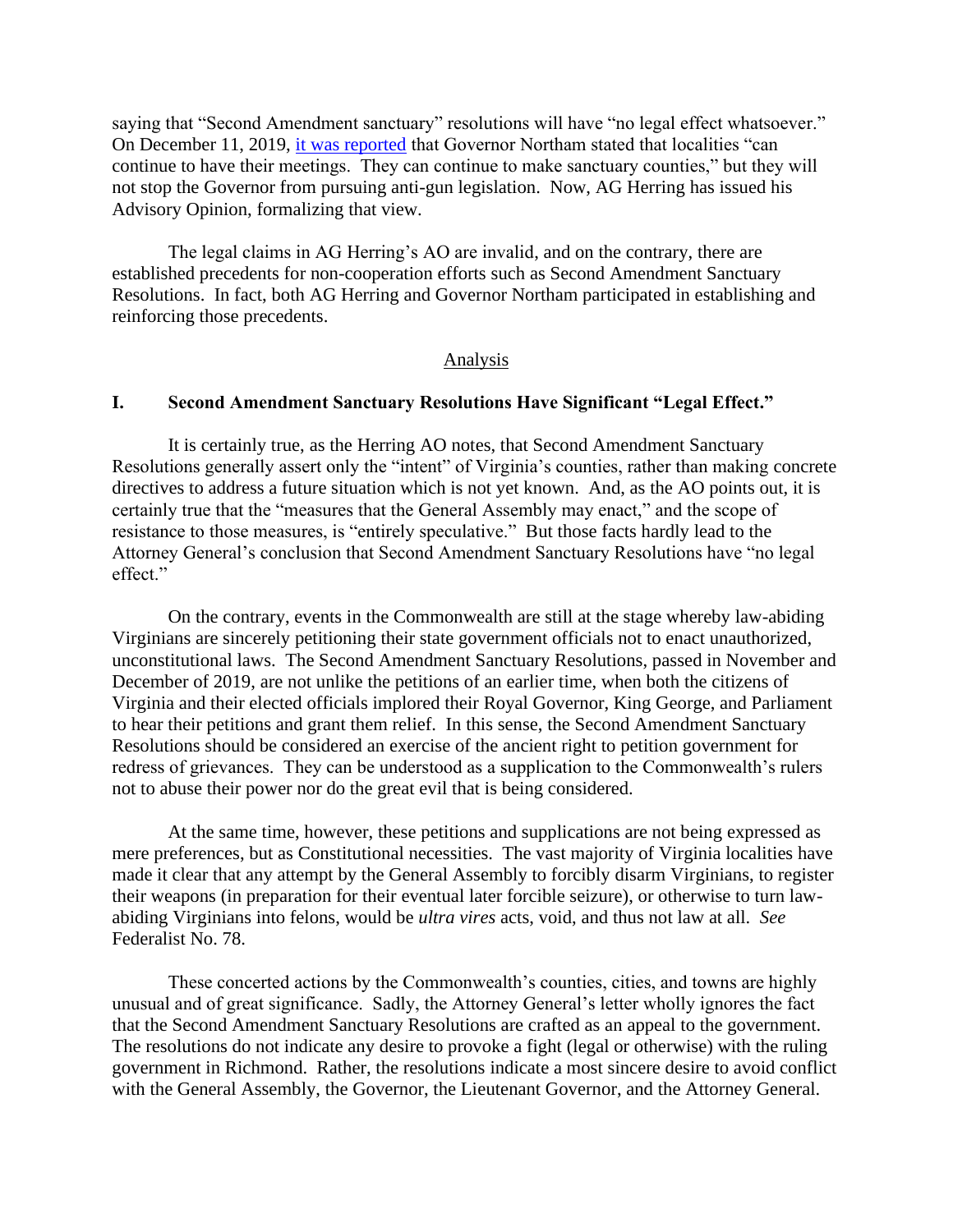saying that "Second Amendment sanctuary" resolutions will have "no legal effect whatsoever." On December 11, 2019, [it was reported](https://www.13newsnow.com/article/news/politics/governor-northam-on-second-amendment-sanctuaries/291-da6727bc-30ff-43c8-8a4b-60) that Governor Northam stated that localities "can continue to have their meetings. They can continue to make sanctuary counties," but they will not stop the Governor from pursuing anti-gun legislation. Now, AG Herring has issued his Advisory Opinion, formalizing that view.

The legal claims in AG Herring's AO are invalid, and on the contrary, there are established precedents for non-cooperation efforts such as Second Amendment Sanctuary Resolutions. In fact, both AG Herring and Governor Northam participated in establishing and reinforcing those precedents.

### Analysis

## **I. Second Amendment Sanctuary Resolutions Have Significant "Legal Effect."**

It is certainly true, as the Herring AO notes, that Second Amendment Sanctuary Resolutions generally assert only the "intent" of Virginia's counties, rather than making concrete directives to address a future situation which is not yet known. And, as the AO points out, it is certainly true that the "measures that the General Assembly may enact," and the scope of resistance to those measures, is "entirely speculative." But those facts hardly lead to the Attorney General's conclusion that Second Amendment Sanctuary Resolutions have "no legal effect."

On the contrary, events in the Commonwealth are still at the stage whereby law-abiding Virginians are sincerely petitioning their state government officials not to enact unauthorized, unconstitutional laws. The Second Amendment Sanctuary Resolutions, passed in November and December of 2019, are not unlike the petitions of an earlier time, when both the citizens of Virginia and their elected officials implored their Royal Governor, King George, and Parliament to hear their petitions and grant them relief. In this sense, the Second Amendment Sanctuary Resolutions should be considered an exercise of the ancient right to petition government for redress of grievances. They can be understood as a supplication to the Commonwealth's rulers not to abuse their power nor do the great evil that is being considered.

At the same time, however, these petitions and supplications are not being expressed as mere preferences, but as Constitutional necessities. The vast majority of Virginia localities have made it clear that any attempt by the General Assembly to forcibly disarm Virginians, to register their weapons (in preparation for their eventual later forcible seizure), or otherwise to turn lawabiding Virginians into felons, would be *ultra vires* acts, void, and thus not law at all. *See* Federalist No. 78.

These concerted actions by the Commonwealth's counties, cities, and towns are highly unusual and of great significance. Sadly, the Attorney General's letter wholly ignores the fact that the Second Amendment Sanctuary Resolutions are crafted as an appeal to the government. The resolutions do not indicate any desire to provoke a fight (legal or otherwise) with the ruling government in Richmond. Rather, the resolutions indicate a most sincere desire to avoid conflict with the General Assembly, the Governor, the Lieutenant Governor, and the Attorney General.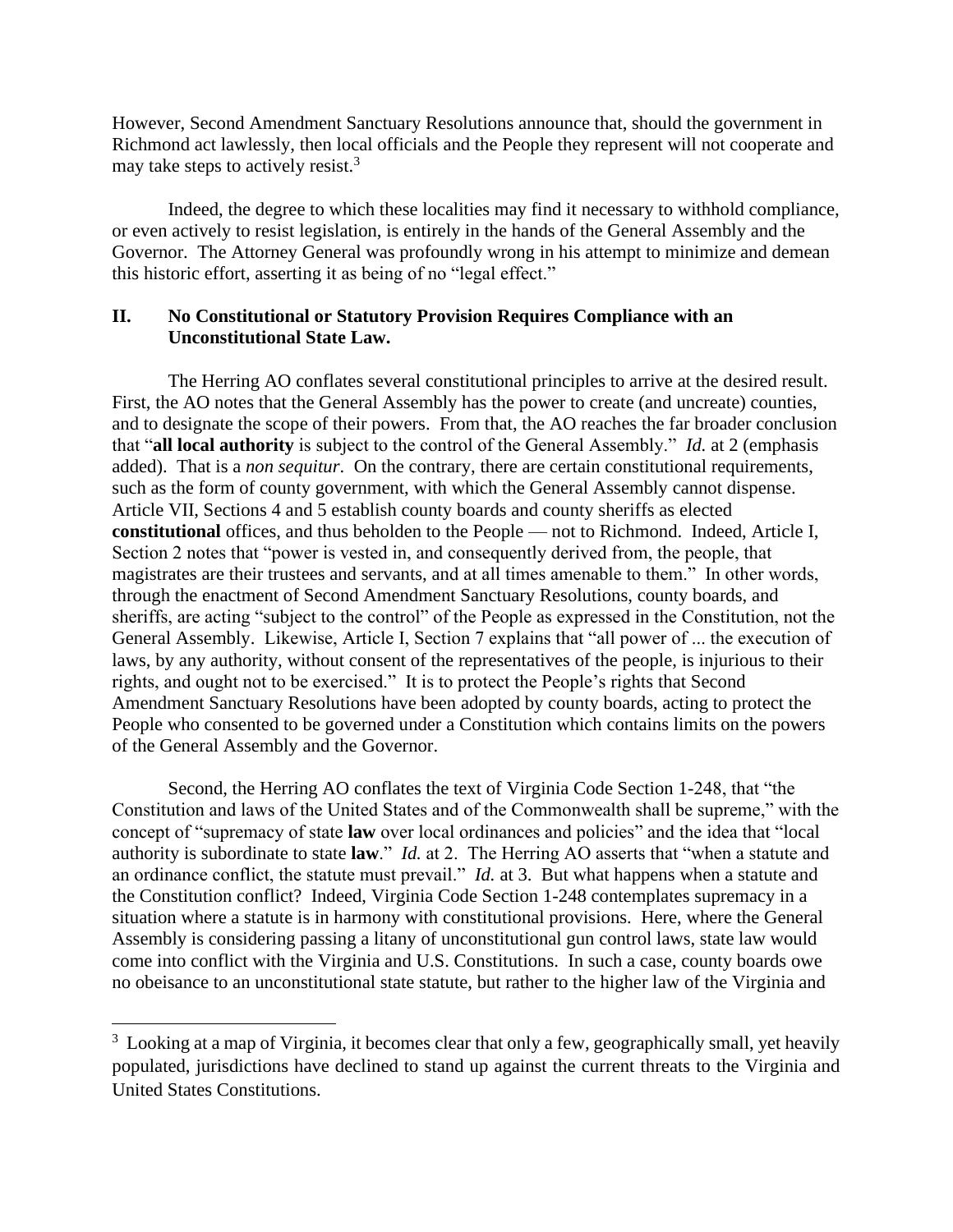However, Second Amendment Sanctuary Resolutions announce that, should the government in Richmond act lawlessly, then local officials and the People they represent will not cooperate and may take steps to actively resist.<sup>3</sup>

Indeed, the degree to which these localities may find it necessary to withhold compliance, or even actively to resist legislation, is entirely in the hands of the General Assembly and the Governor. The Attorney General was profoundly wrong in his attempt to minimize and demean this historic effort, asserting it as being of no "legal effect."

## **II. No Constitutional or Statutory Provision Requires Compliance with an Unconstitutional State Law.**

The Herring AO conflates several constitutional principles to arrive at the desired result. First, the AO notes that the General Assembly has the power to create (and uncreate) counties, and to designate the scope of their powers. From that, the AO reaches the far broader conclusion that "**all local authority** is subject to the control of the General Assembly." *Id.* at 2 (emphasis added). That is a *non sequitur*. On the contrary, there are certain constitutional requirements, such as the form of county government, with which the General Assembly cannot dispense. Article VII, Sections 4 and 5 establish county boards and county sheriffs as elected **constitutional** offices, and thus beholden to the People — not to Richmond. Indeed, Article I, Section 2 notes that "power is vested in, and consequently derived from, the people, that magistrates are their trustees and servants, and at all times amenable to them." In other words, through the enactment of Second Amendment Sanctuary Resolutions, county boards, and sheriffs, are acting "subject to the control" of the People as expressed in the Constitution, not the General Assembly. Likewise, Article I, Section 7 explains that "all power of ... the execution of laws, by any authority, without consent of the representatives of the people, is injurious to their rights, and ought not to be exercised." It is to protect the People's rights that Second Amendment Sanctuary Resolutions have been adopted by county boards, acting to protect the People who consented to be governed under a Constitution which contains limits on the powers of the General Assembly and the Governor.

Second, the Herring AO conflates the text of Virginia Code Section 1-248, that "the Constitution and laws of the United States and of the Commonwealth shall be supreme," with the concept of "supremacy of state **law** over local ordinances and policies" and the idea that "local authority is subordinate to state **law**." *Id.* at 2. The Herring AO asserts that "when a statute and an ordinance conflict, the statute must prevail." *Id.* at 3. But what happens when a statute and the Constitution conflict? Indeed, Virginia Code Section 1-248 contemplates supremacy in a situation where a statute is in harmony with constitutional provisions. Here, where the General Assembly is considering passing a litany of unconstitutional gun control laws, state law would come into conflict with the Virginia and U.S. Constitutions. In such a case, county boards owe no obeisance to an unconstitutional state statute, but rather to the higher law of the Virginia and

 $3$  Looking at a map of Virginia, it becomes clear that only a few, geographically small, yet heavily populated, jurisdictions have declined to stand up against the current threats to the Virginia and United States Constitutions.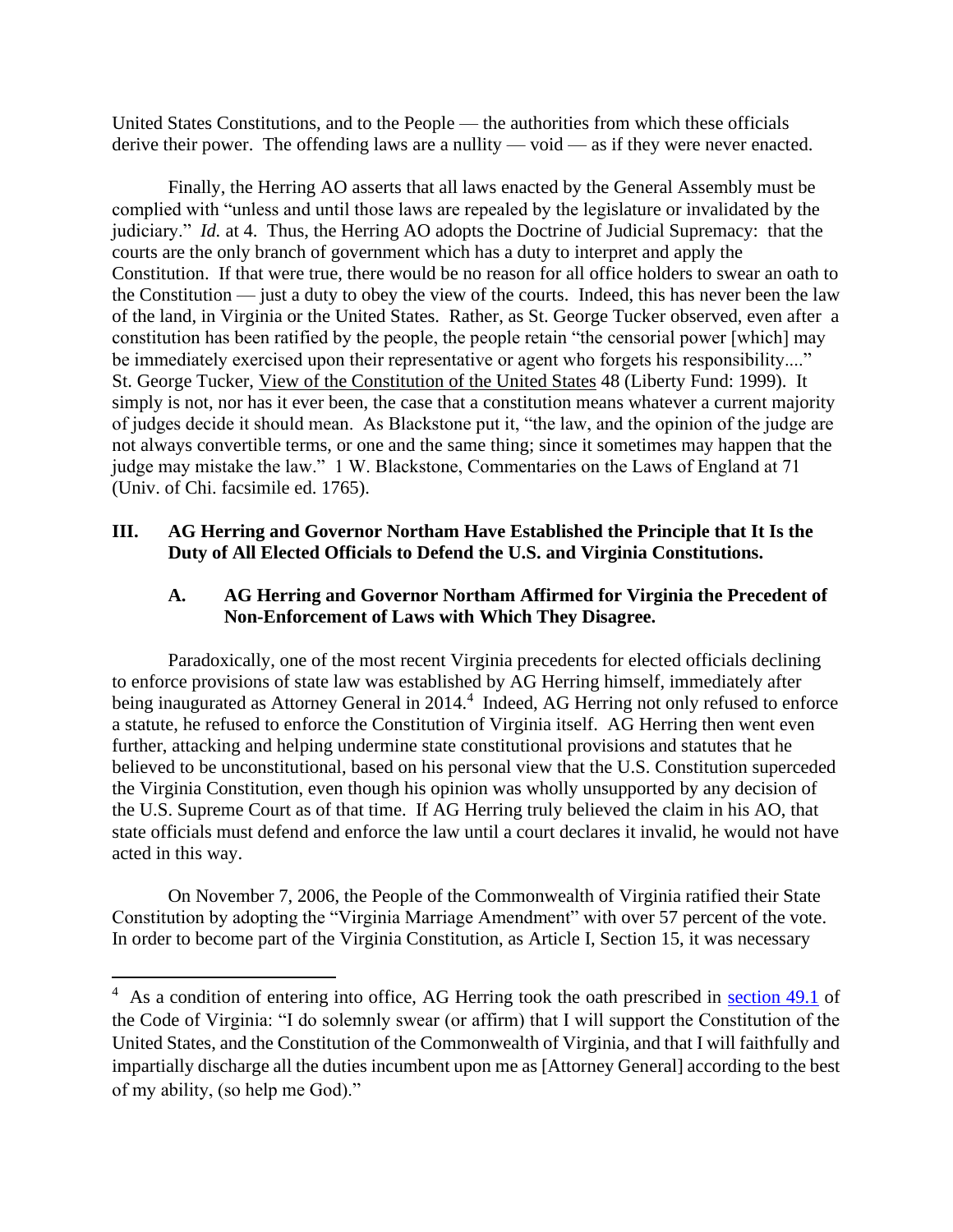United States Constitutions, and to the People — the authorities from which these officials derive their power. The offending laws are a nullity — void — as if they were never enacted.

Finally, the Herring AO asserts that all laws enacted by the General Assembly must be complied with "unless and until those laws are repealed by the legislature or invalidated by the judiciary." *Id.* at 4. Thus, the Herring AO adopts the Doctrine of Judicial Supremacy: that the courts are the only branch of government which has a duty to interpret and apply the Constitution. If that were true, there would be no reason for all office holders to swear an oath to the Constitution — just a duty to obey the view of the courts. Indeed, this has never been the law of the land, in Virginia or the United States. Rather, as St. George Tucker observed, even after a constitution has been ratified by the people, the people retain "the censorial power [which] may be immediately exercised upon their representative or agent who forgets his responsibility...." St. George Tucker, View of the Constitution of the United States 48 (Liberty Fund: 1999). It simply is not, nor has it ever been, the case that a constitution means whatever a current majority of judges decide it should mean. As Blackstone put it, "the law, and the opinion of the judge are not always convertible terms, or one and the same thing; since it sometimes may happen that the judge may mistake the law." 1 W. Blackstone, Commentaries on the Laws of England at 71 (Univ. of Chi. facsimile ed. 1765).

## **III. AG Herring and Governor Northam Have Established the Principle that It Is the Duty of All Elected Officials to Defend the U.S. and Virginia Constitutions.**

## **A. AG Herring and Governor Northam Affirmed for Virginia the Precedent of Non-Enforcement of Laws with Which They Disagree.**

Paradoxically, one of the most recent Virginia precedents for elected officials declining to enforce provisions of state law was established by AG Herring himself, immediately after being inaugurated as Attorney General in 2014.<sup>4</sup> Indeed, AG Herring not only refused to enforce a statute, he refused to enforce the Constitution of Virginia itself. AG Herring then went even further, attacking and helping undermine state constitutional provisions and statutes that he believed to be unconstitutional, based on his personal view that the U.S. Constitution superceded the Virginia Constitution, even though his opinion was wholly unsupported by any decision of the U.S. Supreme Court as of that time. If AG Herring truly believed the claim in his AO, that state officials must defend and enforce the law until a court declares it invalid, he would not have acted in this way.

On November 7, 2006, the People of the Commonwealth of Virginia ratified their State Constitution by adopting the "Virginia Marriage Amendment" with over 57 percent of the vote. In order to become part of the Virginia Constitution, as Article I, Section 15, it was necessary

<sup>&</sup>lt;sup>4</sup> As a condition of entering into office, AG Herring took the oath prescribed in [section 49.1](https://law.lis.virginia.gov/vacode/title49/chapter1/section49-1/) of the Code of Virginia: "I do solemnly swear (or affirm) that I will support the Constitution of the United States, and the Constitution of the Commonwealth of Virginia, and that I will faithfully and impartially discharge all the duties incumbent upon me as [Attorney General] according to the best of my ability, (so help me God)."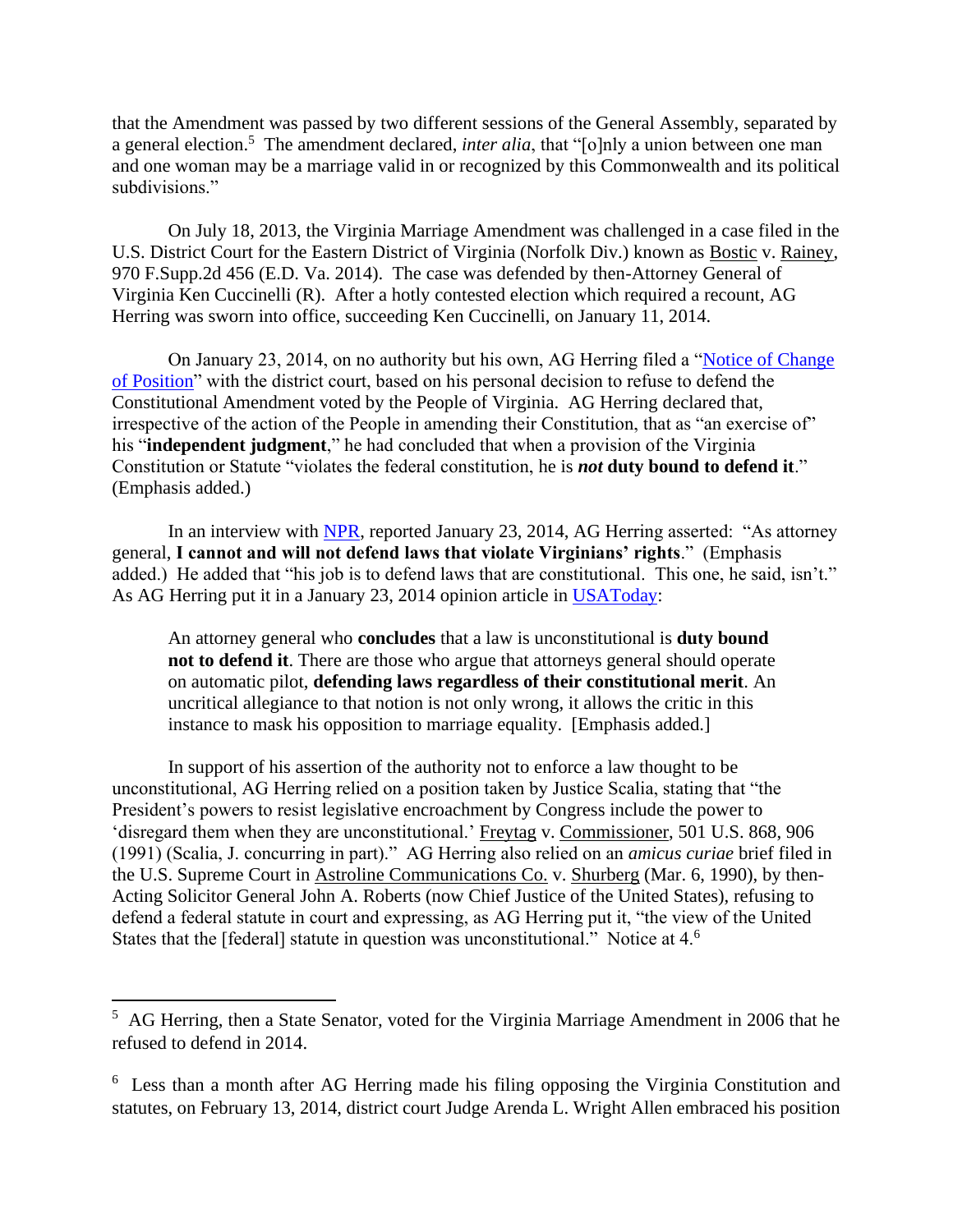that the Amendment was passed by two different sessions of the General Assembly, separated by a general election.<sup>5</sup> The amendment declared, *inter alia*, that "[o]nly a union between one man and one woman may be a marriage valid in or recognized by this Commonwealth and its political subdivisions."

On July 18, 2013, the Virginia Marriage Amendment was challenged in a case filed in the U.S. District Court for the Eastern District of Virginia (Norfolk Div.) known as Bostic v. Rainey, 970 F.Supp.2d 456 (E.D. Va. 2014). The case was defended by then-Attorney General of Virginia Ken Cuccinelli (R). After a hotly contested election which required a recount, AG Herring was sworn into office, succeeding Ken Cuccinelli, on January 11, 2014.

On January 23, 2014, on no authority but his own, AG Herring filed a ["Notice of Change](https://oag.state.va.us/files/Notice_of_Change_in_Position_by_Rainey_and_Memorandum_in_Support_(Bostic_v_Rainey_1-23-2014).pdf)  [of Position"](https://oag.state.va.us/files/Notice_of_Change_in_Position_by_Rainey_and_Memorandum_in_Support_(Bostic_v_Rainey_1-23-2014).pdf) with the district court, based on his personal decision to refuse to defend the Constitutional Amendment voted by the People of Virginia. AG Herring declared that, irrespective of the action of the People in amending their Constitution, that as "an exercise of" his "**independent judgment**," he had concluded that when a provision of the Virginia Constitution or Statute "violates the federal constitution, he is *not* **duty bound to defend it**." (Emphasis added.)

In an interview with [NPR,](https://www.npr.org/sections/thetwo-way/2014/01/23/265050444/virginias-new-attorney-general-will-not-defend-gay-marriage-ban) reported January 23, 2014, AG Herring asserted: "As attorney general, **I cannot and will not defend laws that violate Virginians' rights**." (Emphasis added.) He added that "his job is to defend laws that are constitutional. This one, he said, isn't." As AG Herring put it in a January 23, 2014 opinion article in [USAToday:](https://www.usatoday.com/story/opinion/2014/01/23/mark-herring-same-sex-marriage-virginia/4802895/)

An attorney general who **concludes** that a law is unconstitutional is **duty bound not to defend it**. There are those who argue that attorneys general should operate on automatic pilot, **defending laws regardless of their constitutional merit**. An uncritical allegiance to that notion is not only wrong, it allows the critic in this instance to mask his opposition to marriage equality. [Emphasis added.]

In support of his assertion of the authority not to enforce a law thought to be unconstitutional, AG Herring relied on a position taken by Justice Scalia, stating that "the President's powers to resist legislative encroachment by Congress include the power to 'disregard them when they are unconstitutional.' Freytag v. Commissioner, 501 U.S. 868, 906 (1991) (Scalia, J. concurring in part)." AG Herring also relied on an *amicus curiae* brief filed in the U.S. Supreme Court in Astroline Communications Co. v. Shurberg (Mar. 6, 1990), by then-Acting Solicitor General John A. Roberts (now Chief Justice of the United States), refusing to defend a federal statute in court and expressing, as AG Herring put it, "the view of the United States that the [federal] statute in question was unconstitutional." Notice at 4.<sup>6</sup>

<sup>&</sup>lt;sup>5</sup> AG Herring, then a State Senator, voted for the Virginia Marriage Amendment in 2006 that he refused to defend in 2014.

<sup>&</sup>lt;sup>6</sup> Less than a month after AG Herring made his filing opposing the Virginia Constitution and statutes, on February 13, 2014, district court Judge Arenda L. Wright Allen embraced his position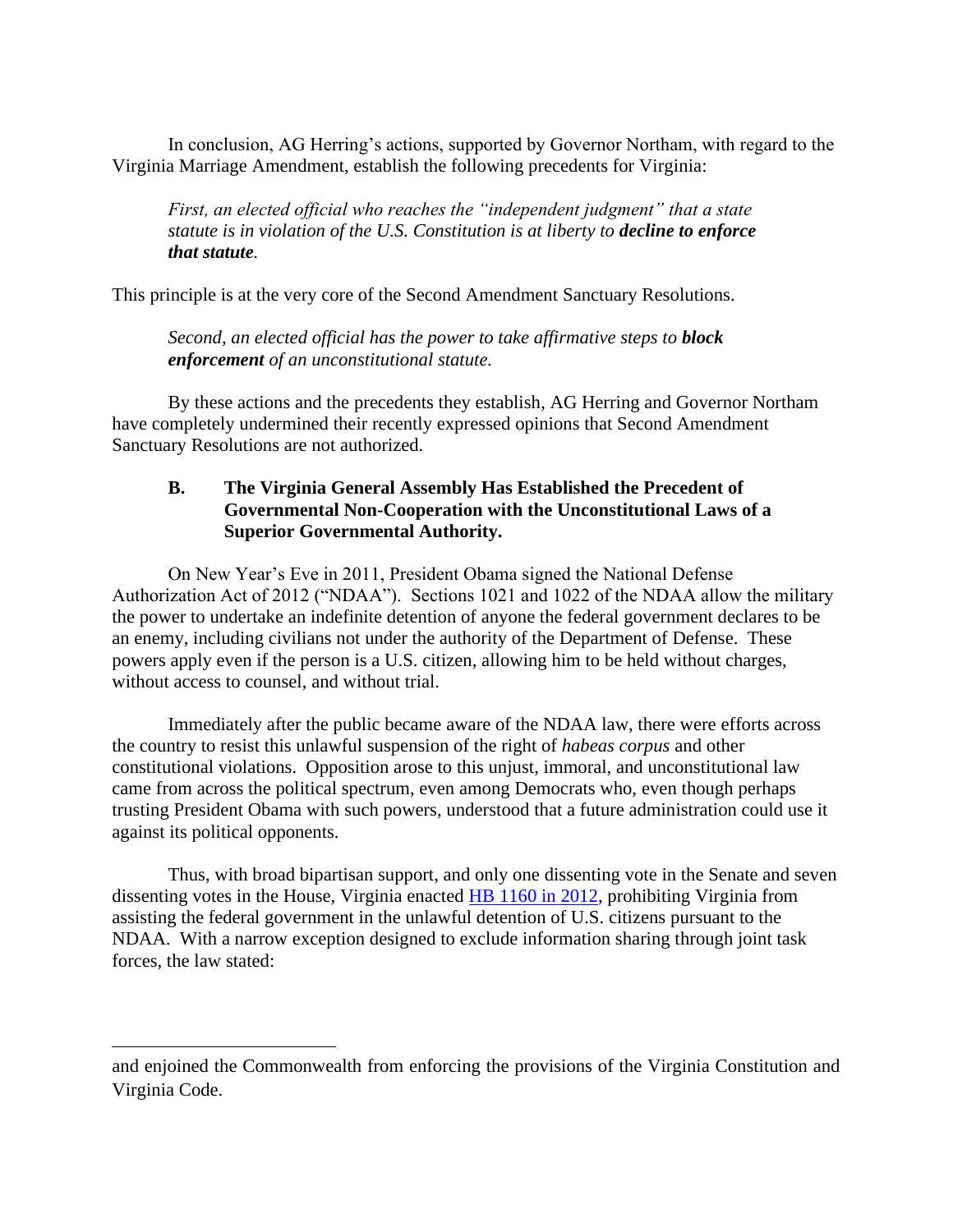In conclusion, AG Herring's actions, supported by Governor Northam, with regard to the Virginia Marriage Amendment, establish the following precedents for Virginia:

*First, an elected official who reaches the "independent judgment" that a state statute is in violation of the U.S. Constitution is at liberty to decline to enforce that statute.* 

This principle is at the very core of the Second Amendment Sanctuary Resolutions.

*Second, an elected official has the power to take affirmative steps to block enforcement of an unconstitutional statute.*

By these actions and the precedents they establish, AG Herring and Governor Northam have completely undermined their recently expressed opinions that Second Amendment Sanctuary Resolutions are not authorized.

# **B. The Virginia General Assembly Has Established the Precedent of Governmental Non-Cooperation with the Unconstitutional Laws of a Superior Governmental Authority.**

On New Year's Eve in 2011, President Obama signed the National Defense Authorization Act of 2012 ("NDAA"). Sections 1021 and 1022 of the NDAA allow the military the power to undertake an indefinite detention of anyone the federal government declares to be an enemy, including civilians not under the authority of the Department of Defense. These powers apply even if the person is a U.S. citizen, allowing him to be held without charges, without access to counsel, and without trial.

Immediately after the public became aware of the NDAA law, there were efforts across the country to resist this unlawful suspension of the right of *habeas corpus* and other constitutional violations. Opposition arose to this unjust, immoral, and unconstitutional law came from across the political spectrum, even among Democrats who, even though perhaps trusting President Obama with such powers, understood that a future administration could use it against its political opponents.

Thus, with broad bipartisan support, and only one dissenting vote in the Senate and seven dissenting votes in the House, Virginia enacted [HB 1160 in 2012,](http://lis.virginia.gov/cgi-bin/legp604.exe?ses=121&typ=bil&val=HB1160&Submit2=Go) prohibiting Virginia from assisting the federal government in the unlawful detention of U.S. citizens pursuant to the NDAA. With a narrow exception designed to exclude information sharing through joint task forces, the law stated:

and enjoined the Commonwealth from enforcing the provisions of the Virginia Constitution and Virginia Code.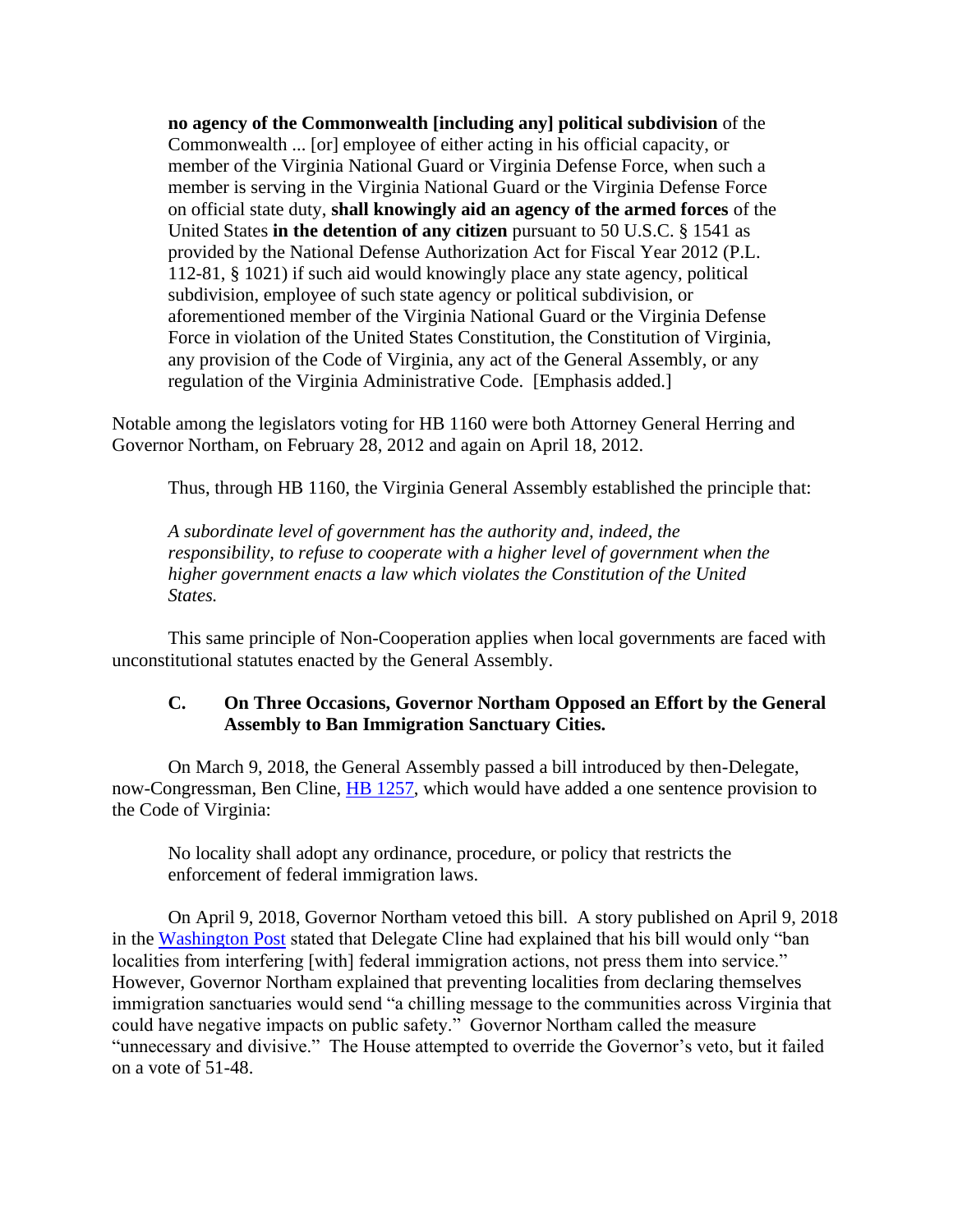**no agency of the Commonwealth [including any] political subdivision** of the Commonwealth ... [or] employee of either acting in his official capacity, or member of the Virginia National Guard or Virginia Defense Force, when such a member is serving in the Virginia National Guard or the Virginia Defense Force on official state duty, **shall knowingly aid an agency of the armed forces** of the United States **in the detention of any citizen** pursuant to 50 U.S.C. § 1541 as provided by the National Defense Authorization Act for Fiscal Year 2012 (P.L. 112-81, § 1021) if such aid would knowingly place any state agency, political subdivision, employee of such state agency or political subdivision, or aforementioned member of the Virginia National Guard or the Virginia Defense Force in violation of the United States Constitution, the Constitution of Virginia, any provision of the Code of Virginia, any act of the General Assembly, or any regulation of the Virginia Administrative Code. [Emphasis added.]

Notable among the legislators voting for HB 1160 were both Attorney General Herring and Governor Northam, on February 28, 2012 and again on April 18, 2012.

Thus, through HB 1160, the Virginia General Assembly established the principle that:

*A subordinate level of government has the authority and, indeed, the responsibility, to refuse to cooperate with a higher level of government when the higher government enacts a law which violates the Constitution of the United States.*

This same principle of Non-Cooperation applies when local governments are faced with unconstitutional statutes enacted by the General Assembly.

# **C. On Three Occasions, Governor Northam Opposed an Effort by the General Assembly to Ban Immigration Sanctuary Cities.**

On March 9, 2018, the General Assembly passed a bill introduced by then-Delegate, now-Congressman, Ben Cline, **HB** 1257, which would have added a one sentence provision to the Code of Virginia:

No locality shall adopt any ordinance, procedure, or policy that restricts the enforcement of federal immigration laws.

On April 9, 2018, Governor Northam vetoed this bill. A story published on April 9, 2018 in the [Washington Post](http://lis.virginia.gov/cgi-bin/legp604.exe?181+sum+HB1257) stated that Delegate Cline had explained that his bill would only "ban localities from interfering [with] federal immigration actions, not press them into service." However, Governor Northam explained that preventing localities from declaring themselves immigration sanctuaries would send "a chilling message to the communities across Virginia that could have negative impacts on public safety." Governor Northam called the measure "unnecessary and divisive." The House attempted to override the Governor's veto, but it failed on a vote of 51-48.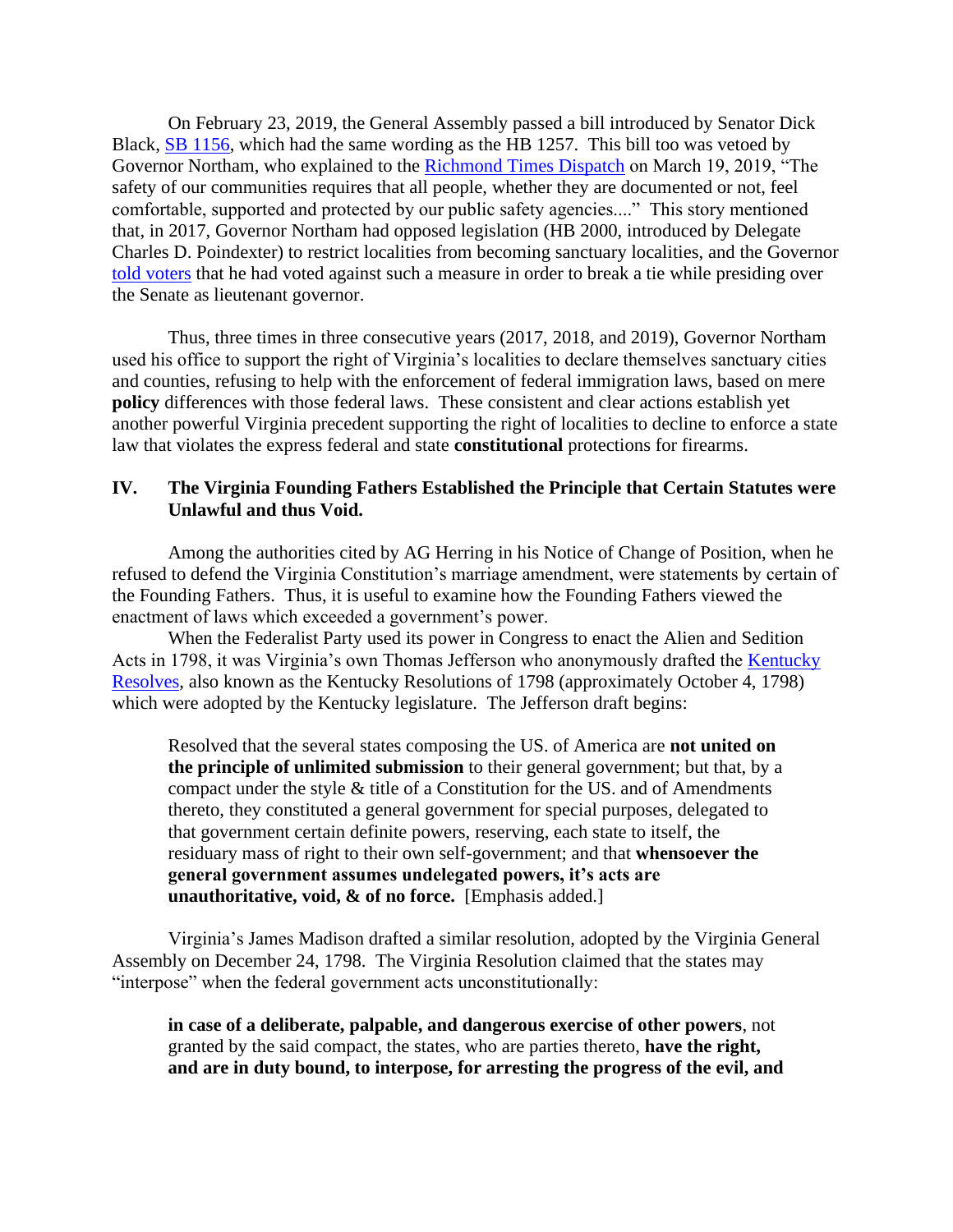On February 23, 2019, the General Assembly passed a bill introduced by Senator Dick Black, [SB 1156,](http://lis.virginia.gov/cgi-bin/legp604.exe?191+sum+SB1156) which had the same wording as the HB 1257. This bill too was vetoed by Governor Northam, who explained to the [Richmond Times Dispatch](https://www.richmond.com/news/local/government-politics/northam-vetoes-sanctuary-cities-bill/article_a0594c7e-b87f-5e4e-9eb8-fe) on March 19, 2019, "The safety of our communities requires that all people, whether they are documented or not, feel comfortable, supported and protected by our public safety agencies...." This story mentioned that, in 2017, Governor Northam had opposed legislation (HB 2000, introduced by Delegate Charles D. Poindexter) to restrict localities from becoming sanctuary localities, and the Governor [told voters](https://www.youtube.com/watch?time_continue=16&v=VI8lWf58eN4&feature=emb_logo) that he had voted against such a measure in order to break a tie while presiding over the Senate as lieutenant governor.

Thus, three times in three consecutive years (2017, 2018, and 2019), Governor Northam used his office to support the right of Virginia's localities to declare themselves sanctuary cities and counties, refusing to help with the enforcement of federal immigration laws, based on mere **policy** differences with those federal laws. These consistent and clear actions establish yet another powerful Virginia precedent supporting the right of localities to decline to enforce a state law that violates the express federal and state **constitutional** protections for firearms.

### **IV. The Virginia Founding Fathers Established the Principle that Certain Statutes were Unlawful and thus Void.**

Among the authorities cited by AG Herring in his Notice of Change of Position, when he refused to defend the Virginia Constitution's marriage amendment, were statements by certain of the Founding Fathers. Thus, it is useful to examine how the Founding Fathers viewed the enactment of laws which exceeded a government's power.

When the Federalist Party used its power in Congress to enact the Alien and Sedition Acts in 1798, it was Virginia's own Thomas Jefferson who anonymously drafted the [Kentucky](https://jeffersonpapers.princeton.edu/selected-documents/kentucky-resolutions-1798)  [Resolves,](https://jeffersonpapers.princeton.edu/selected-documents/kentucky-resolutions-1798) also known as the Kentucky Resolutions of 1798 (approximately October 4, 1798) which were adopted by the Kentucky legislature. The Jefferson draft begins:

Resolved that the several states composing the US. of America are **not united on the principle of unlimited submission** to their general government; but that, by a compact under the style  $\&$  title of a Constitution for the US. and of Amendments thereto, they constituted a general government for special purposes, delegated to that government certain definite powers, reserving, each state to itself, the residuary mass of right to their own self-government; and that **whensoever the general government assumes undelegated powers, it's acts are unauthoritative, void, & of no force.** [Emphasis added.]

Virginia's James Madison drafted a similar resolution, adopted by the Virginia General Assembly on December 24, 1798. The Virginia Resolution claimed that the states may "interpose" when the federal government acts unconstitutionally:

**in case of a deliberate, palpable, and dangerous exercise of other powers**, not granted by the said compact, the states, who are parties thereto, **have the right, and are in duty bound, to interpose, for arresting the progress of the evil, and**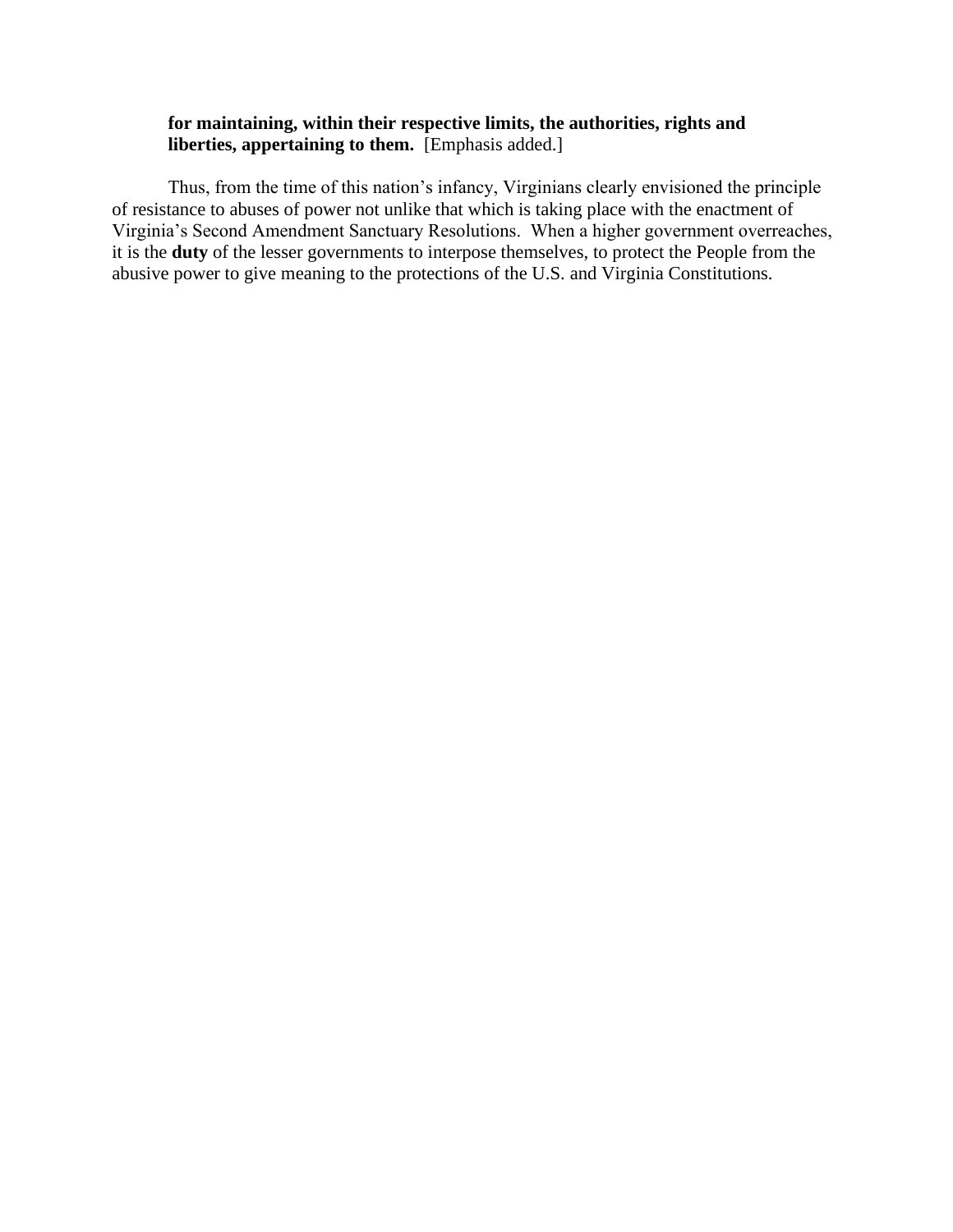# **for maintaining, within their respective limits, the authorities, rights and liberties, appertaining to them.** [Emphasis added.]

Thus, from the time of this nation's infancy, Virginians clearly envisioned the principle of resistance to abuses of power not unlike that which is taking place with the enactment of Virginia's Second Amendment Sanctuary Resolutions. When a higher government overreaches, it is the **duty** of the lesser governments to interpose themselves, to protect the People from the abusive power to give meaning to the protections of the U.S. and Virginia Constitutions.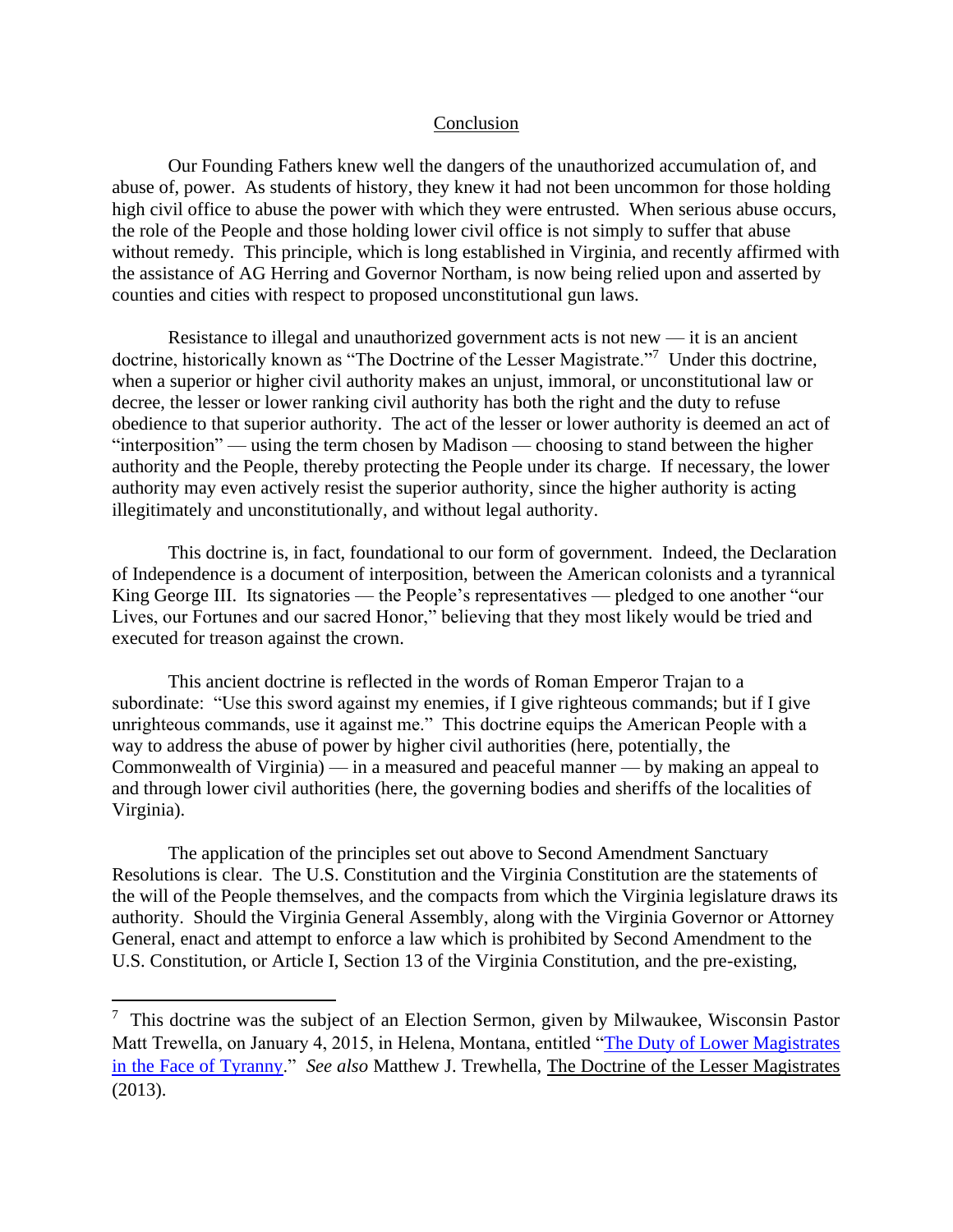#### Conclusion

Our Founding Fathers knew well the dangers of the unauthorized accumulation of, and abuse of, power. As students of history, they knew it had not been uncommon for those holding high civil office to abuse the power with which they were entrusted. When serious abuse occurs, the role of the People and those holding lower civil office is not simply to suffer that abuse without remedy. This principle, which is long established in Virginia, and recently affirmed with the assistance of AG Herring and Governor Northam, is now being relied upon and asserted by counties and cities with respect to proposed unconstitutional gun laws.

Resistance to illegal and unauthorized government acts is not new — it is an ancient doctrine, historically known as "The Doctrine of the Lesser Magistrate."<sup>7</sup> Under this doctrine, when a superior or higher civil authority makes an unjust, immoral, or unconstitutional law or decree, the lesser or lower ranking civil authority has both the right and the duty to refuse obedience to that superior authority. The act of the lesser or lower authority is deemed an act of "interposition" — using the term chosen by Madison — choosing to stand between the higher authority and the People, thereby protecting the People under its charge. If necessary, the lower authority may even actively resist the superior authority, since the higher authority is acting illegitimately and unconstitutionally, and without legal authority.

This doctrine is, in fact, foundational to our form of government. Indeed, the Declaration of Independence is a document of interposition, between the American colonists and a tyrannical King George III. Its signatories — the People's representatives — pledged to one another "our Lives, our Fortunes and our sacred Honor," believing that they most likely would be tried and executed for treason against the crown.

This ancient doctrine is reflected in the words of Roman Emperor Trajan to a subordinate: "Use this sword against my enemies, if I give righteous commands; but if I give unrighteous commands, use it against me." This doctrine equips the American People with a way to address the abuse of power by higher civil authorities (here, potentially, the Commonwealth of Virginia) — in a measured and peaceful manner — by making an appeal to and through lower civil authorities (here, the governing bodies and sheriffs of the localities of Virginia).

The application of the principles set out above to Second Amendment Sanctuary Resolutions is clear. The U.S. Constitution and the Virginia Constitution are the statements of the will of the People themselves, and the compacts from which the Virginia legislature draws its authority. Should the Virginia General Assembly, along with the Virginia Governor or Attorney General, enact and attempt to enforce a law which is prohibited by Second Amendment to the U.S. Constitution, or Article I, Section 13 of the Virginia Constitution, and the pre-existing,

<sup>&</sup>lt;sup>7</sup> This doctrine was the subject of an Election Sermon, given by Milwaukee, Wisconsin Pastor Matt Trewella, on January 4, 2015, in Helena, Montana, entitled ["The Duty of Lower Magistrates](https://lessermagistrate.com/montana-election-sermon/)  [in the Face of Tyranny.](https://lessermagistrate.com/montana-election-sermon/)" *See also* Matthew J. Trewhella, The Doctrine of the Lesser Magistrates (2013).